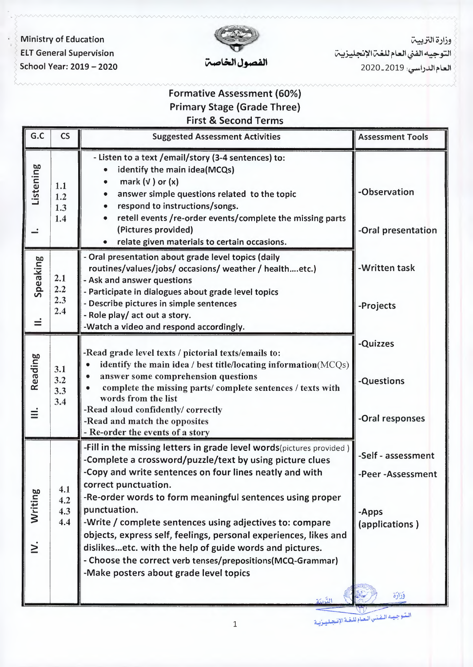*· immistry of Education* **ELT General Supervision** School Year: 2019 - 2020

*-t'""* 



وزارة التربيت .<br>التوجيه الفني العام للغ**ت الإنجليزي**ت العام الدراسي: 2020-2020

# Formative Assessment (60%) Primary Stage (Grade Three) First & Second Terms

| G.C                 | <b>CS</b>                | <b>Suggested Assessment Activities</b>                                                                                                                                                                                                                                                                                                                                                                                                                                                                                                                                                                       | <b>Assessment Tools</b>                                                       |
|---------------------|--------------------------|--------------------------------------------------------------------------------------------------------------------------------------------------------------------------------------------------------------------------------------------------------------------------------------------------------------------------------------------------------------------------------------------------------------------------------------------------------------------------------------------------------------------------------------------------------------------------------------------------------------|-------------------------------------------------------------------------------|
| Listening           | 1.1<br>1.2<br>1.3<br>1.4 | - Listen to a text /email/story (3-4 sentences) to:<br>identify the main idea(MCQs)<br>mark $(v)$ or $(x)$<br>answer simple questions related to the topic<br>respond to instructions/songs.<br>retell events /re-order events/complete the missing parts<br>(Pictures provided)<br>relate given materials to certain occasions.<br>$\bullet$                                                                                                                                                                                                                                                                | -Observation<br>-Oral presentation                                            |
| Speaking<br>≓       | 2.1<br>2.2<br>2.3<br>2.4 | - Oral presentation about grade level topics (daily<br>routines/values/jobs/ occasions/ weather / healthetc.)<br>- Ask and answer questions<br>- Participate in dialogues about grade level topics<br>- Describe pictures in simple sentences<br>- Role play/ act out a story.<br>-Watch a video and respond accordingly.                                                                                                                                                                                                                                                                                    | -Written task<br>-Projects                                                    |
| Reading<br>$\equiv$ | 3.1<br>3.2<br>3.3<br>3.4 | -Read grade level texts / pictorial texts/emails to:<br>identify the main idea / best title/locating information(MCQs)<br>answer some comprehension questions<br>complete the missing parts/complete sentences / texts with<br>words from the list<br>-Read aloud confidently/ correctly<br>-Read and match the opposites<br>- Re-order the events of a story                                                                                                                                                                                                                                                | -Quizzes<br>-Questions<br>-Oral responses                                     |
| Writing<br>$\geq$   | 4.1<br>4.2<br>4.3<br>4.4 | -Fill in the missing letters in grade level words(pictures provided)<br>-Complete a crossword/puzzle/text by using picture clues<br>-Copy and write sentences on four lines neatly and with<br>correct punctuation.<br>-Re-order words to form meaningful sentences using proper<br>punctuation.<br>-Write / complete sentences using adjectives to: compare<br>objects, express self, feelings, personal experiences, likes and<br>dislikesetc. with the help of guide words and pictures.<br>- Choose the correct verb tenses/prepositions(MCQ-Grammar)<br>-Make posters about grade level topics<br>لتكنة | -Self - assessment<br>-Peer-Assessment<br>-Apps<br>(applications)<br>وَزَارَة |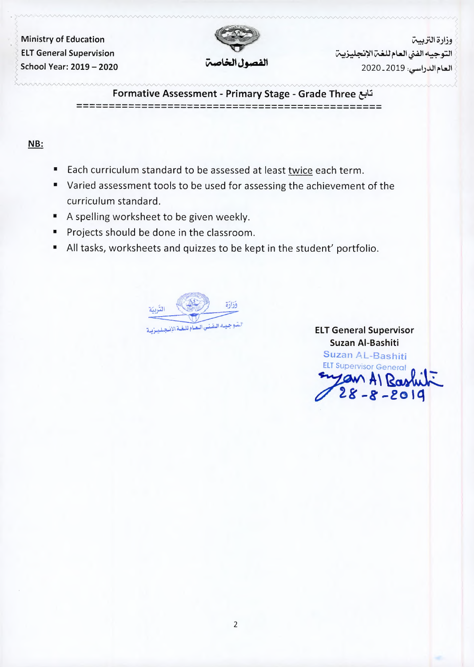> **· Ministry of Education ELT General Supervision School Year: 2019 - 2020** 



**وزارة التربيت** ا وزارة التربيـــة<br>الـتوجيــه الفــي ا<mark>لـعـام للـغــة الإنجليـزيــة</mark> |<br>| وزارة التربيـــة<br>| التوجيـه الفني العام للغـة الإنجليزيـ<br>| العادال باسب 2019 ـــ 2020 العام الدراسي: 2019 ـ 2020

**Formative Assessment - Primary Stage - Grade Three** &\,j --------------------------------------------------------------------------------------------- -

### NB:

- Each curriculum standard to be assessed at least twice each term.
- Varied assessment tools to be used for assessing the achievement of the curriculum standard.
- A spelling worksheet to be given weekly.
- Projects should be done in the classroom.
- All tasks, worksheets and quizzes to be kept in the student' portfolio.



**ELT General Supervisor Suzan AI-Bashiti Suzan AL-Bashiti**  T General Supervisor<br>Suzan Al-Bashiti<br>Suzan AL-Bashiti<br>ELT Supervisor General<br>MAI Rashul ELT General Supervisor<br>Suzan AL-Bashiti<br>Suzan AL-Bashiti<br>ELT Supervisor General<br>Suyan Al Rashiti<br>28 - 8 - 2019 *v'* **28' -8'-fO iq**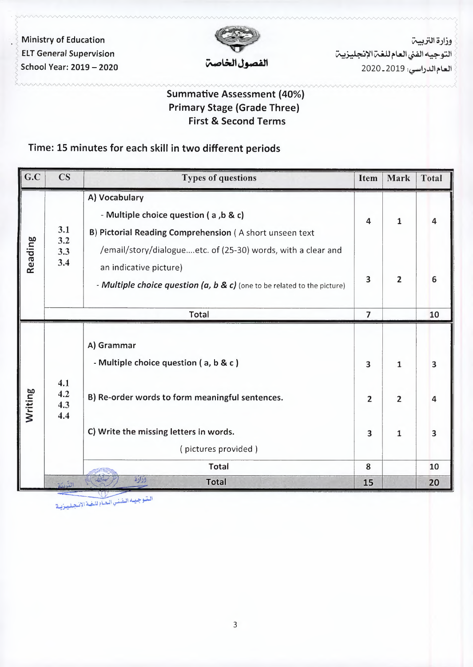Ministry of Education **ELT General Supervision** School Year: 2019 - 2020



وزارة التربيت التوجيه الفني العام للغ**ن الإنجليزين** العام الدراسي: 2020\_2020

# Summative Assessment (40%) Primary Stage (Grade Three) First & Second Terms

# Time: 15 minutes for each skill in two different periods

| G.C     | $\mathbf{C}\mathbf{S}$   | <b>Types of questions</b>                                                                                                                                            | <b>Item</b>    | Mark           | <b>Total</b>            |
|---------|--------------------------|----------------------------------------------------------------------------------------------------------------------------------------------------------------------|----------------|----------------|-------------------------|
| Reading | 3.1<br>3.2<br>3.3<br>3.4 | A) Vocabulary<br>- Multiple choice question (a, b & c)<br>B) Pictorial Reading Comprehension (A short unseen text                                                    | 4              | $\mathbf 1$    | 4                       |
|         |                          | /email/story/dialogueetc. of (25-30) words, with a clear and<br>an indicative picture)<br>- Multiple choice question $(a, b & c)$ (one to be related to the picture) | 3              | $\overline{2}$ | 6                       |
|         |                          | Total                                                                                                                                                                | $\overline{7}$ |                | 10                      |
| Writing | 4.1<br>4.2<br>4.3<br>4.4 | A) Grammar<br>- Multiple choice question (a, b & c)                                                                                                                  | 3              | $\mathbf{1}$   | $\overline{\mathbf{3}}$ |
|         |                          | B) Re-order words to form meaningful sentences.                                                                                                                      | $\overline{2}$ | $\overline{2}$ | 4                       |
|         |                          | C) Write the missing letters in words.<br>(pictures provided)                                                                                                        | 3              | $\mathbf{1}$   | 3                       |
|         |                          | <b>Total</b>                                                                                                                                                         | 8              |                | 10                      |
|         |                          | وزارة<br><b>Total</b>                                                                                                                                                | 15             |                | 20                      |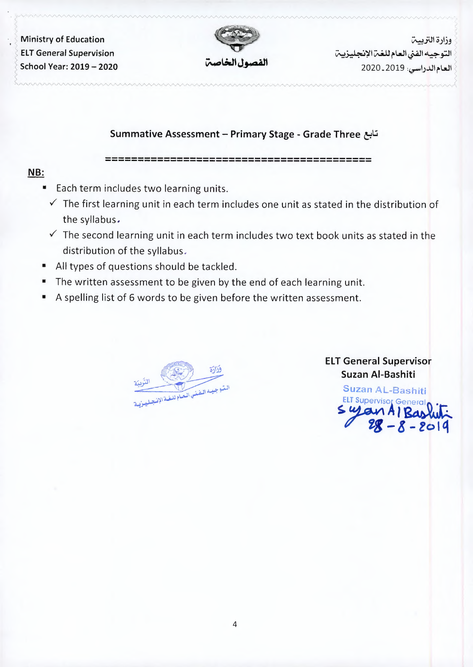$\cdot$   $\cdot$   $\geq$  Ministry of Education **ELT General Supervision School Year: 2019 - 2020** 



وزارة التربيت التوجيه الفنى العام للغت الإنجليزيين العام الدراسي: 2020\_2020

### **Summative Assessment - Primary Stage - Grade Three** &l:i

--------------------------------------------------------------------------------- -

### **NB:**

, *yww*.

- Each term includes two learning units.
	- $\checkmark$  The first learning unit in each term includes one unit as stated in the distribution of the syllabus.
	- $\checkmark$  The second learning unit in each term includes two text book units as stated in the distribution of the syllabus.
- All types of questions should be tackled.
- The written assessment to be given by the end of each learning unit.
- A spelling list of 6 words to be given before the written assessment.

فزادة التوجيده المفني العبام للغدالاذ

## **ELT General Supervisor Suzan AI-Bashiti**

**Suzan** AL-Bashiti ELT Supervisor General<sub>()</sub> •<del>r-</del> \$. *<sup>r</sup>***tB** *p* uzan Al-Bashiti<br>uzan AL-Bash<br>I Supervisor Gene<br>**uy avn A | R** or Gen<br>**A | B Bashut** ervisor<br>niti<br>**Bashifi**<br>**Bashifi**<br>**- 2019**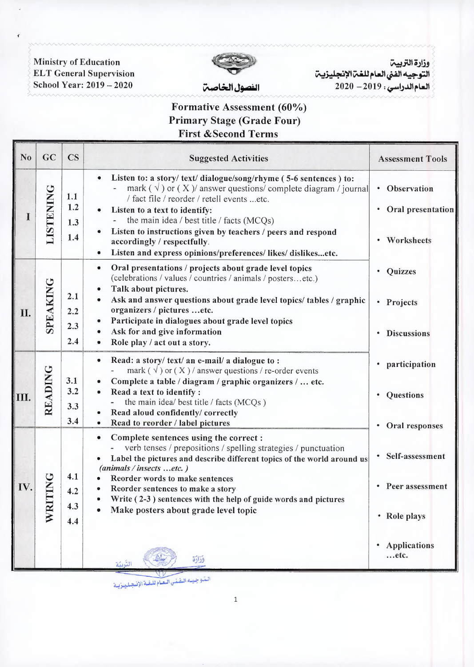i'v'VVVVVVVVV'vA-AA-WvVVAvA/VVV'v'V'VVVVV'v"V'vWV'vA~A-AA,WV'yA~~./V'v'v'v"V'./V'-/'-/'vA/'./V'./'~~./'v'vAvA·/·,~ مسمد المسلمين بين المسلمين بين المسلمين بين المسلمين بين المسلمين بين المسلمين بين المسلمين بين المسلمين بين ا<br>كا<mark>لتوجيه الفني العام للغترالإنجليزيت</mark> بين المسلم المسلم المسلم المسلمين : 2010 - 110 ELT General Supervision<br>



~ School Year: 2019-2020 **~~Jj,iQa,11** 2020 -2019 **:~!)~~WI ~**  يست بالمستخدمة المستخدمة المستخدمة المستخدمة المستخدمة المستخدمة المستخدمة المستخدمة المستخدمة المستخدمة المست<br>التوجيه الفني العام للغن الإنجليزين المستخدمة الإنجليزين المستخدمة المستخدمة المستخدمة المستخدمة المستخدمة الم

# Formative Assessment (60%) Primary Stage (Grade Four) First &Second Terms

| N <sub>0</sub> | GC               | <b>CS</b>                | <b>Suggested Activities</b>                                                                                                                                                                                                                                                                                                                                                                                                               | <b>Assessment Tools</b>                                                                             |
|----------------|------------------|--------------------------|-------------------------------------------------------------------------------------------------------------------------------------------------------------------------------------------------------------------------------------------------------------------------------------------------------------------------------------------------------------------------------------------------------------------------------------------|-----------------------------------------------------------------------------------------------------|
|                | <b>LISTENING</b> | 1.1<br>1.2<br>1.3<br>1.4 | • Listen to: a story/ text/ dialogue/song/rhyme (5-6 sentences ) to:<br>mark ( $\sqrt{ }$ ) or (X) answer questions/complete diagram / journal<br>/ fact file / reorder / retell events etc.<br>Listen to a text to identify:<br>the main idea / best title / facts (MCQs)<br>Listen to instructions given by teachers / peers and respond<br>accordingly / respectfully.<br>Listen and express opinions/preferences/ likes/ dislikesetc. | • Observation<br>Oral presentation<br>Worksheets                                                    |
| II.            | SPEAKING         | 2.1<br>2.2<br>2.3<br>2.4 | Oral presentations / projects about grade level topics<br>$\bullet$<br>(celebrations / values / countries / animals / postersetc.)<br>Talk about pictures.<br>Ask and answer questions about grade level topics/tables / graphic<br>organizers / pictures etc.<br>Participate in dialogues about grade level topics<br>Ask for and give information<br>Role play / act out a story.                                                       | Quizzes<br>Projects<br>$\bullet$<br><b>Discussions</b>                                              |
| Ш.             | READING          | 3.1<br>3.2<br>3.3<br>3.4 | Read: a story/ text/ an e-mail/ a dialogue to:<br>mark ( $\sqrt{ }$ ) or (X) / answer questions / re-order events<br>Complete a table / diagram / graphic organizers /  etc.<br>Read a text to identify :<br>$\bullet$<br>- the main idea/ best title / facts (MCQs)<br>Read aloud confidently/ correctly<br>Read to reorder / label pictures                                                                                             | participation<br>Questions<br>٠                                                                     |
| IV.            | WRIT             | 4.1<br>4.2<br>4.3<br>4.4 | Complete sentences using the correct :<br>۰<br>verb tenses / prepositions / spelling strategies / punctuation<br>Label the pictures and describe different topics of the world around us<br>(animals / insects etc.)<br>Reorder words to make sentences<br>Reorder sentences to make a story<br>Write (2-3) sentences with the help of guide words and pictures<br>Make posters about grade level topic                                   | Oral responses<br>Self-assessment<br>Peer assessment<br>• Role plays<br><b>Applications</b><br>etc. |
|                |                  |                          | وَزَارَة<br>التربية<br>البثوجييه البفنس العبام للغية الإنجيلييزيية                                                                                                                                                                                                                                                                                                                                                                        |                                                                                                     |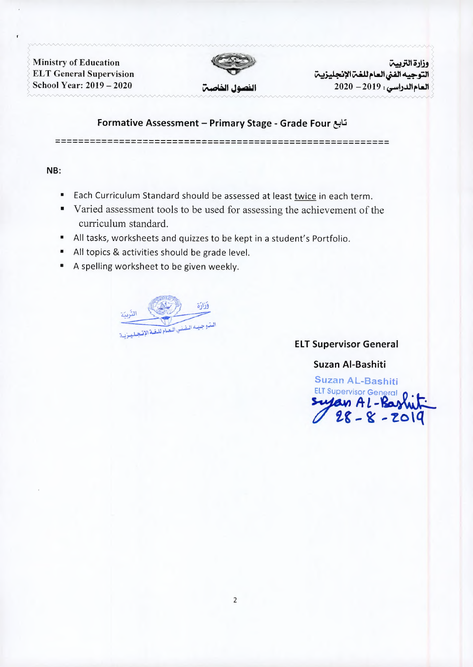Ministry of Education<br>
ELT General Supervision



لمستحدد المستحدد المستحدد المستحدد المستحدد المستحدد المستحدد المستحدد المستحدد المستحدد المستحدد المستحدد المس<br>أوزارة التربيبة الفني العام للغمّ الإنجليزيبة المستحدد المستحدد المستحدد المستحدد المستحدد المستحدد المستحدد لاستخدام المستخدمة المستخدمة بالمستخدمة بالمستخدمة بالمستخدمة بالمستخدمة بالمستخدمة بالمستخدمة بالمستخدمة بالمس<br>أن التوجيه الفني العام للغم الإنجليزييم بالمستخدمة بالمستخدمة بالمستخدمة بالمستخدمة بالمستخدمة بالمستخدمة بال **School Year: 2019 - 2020** ~I **Jj,,Qa,11 2020 -2019: <r"!)..ul,-WI** i ~~WvW~../'V"'~v~~"v"/'v""-""·~"''""""·""''""'·""""'~"''r~.. A/'.,/'--./'V'V'-...,.,"'v -./'v"v'-./'v~

#### **Formative Assessment - Primary Stage - Grade Four cil.:l**

---------------------------------------------------------

#### **NB:**

- **•** Each Curriculum Standard should be assessed at least twice in each term.
- Varied assessment tools to be used for assessing the achievement of the curriculum standard.
- All tasks, worksheets and quizzes to be kept in a student's Portfolio.
- All topics & activities should be grade level.
- A spelling worksheet to be given weekly.

وزارة الستوجبيده البفينس المعياه للبذ

### **ELT Supervisor General**

**Suzan AI-Bashiti** 

**Suzan AL-Bashiti**  Suzan Al-Bashiti<br>Suzan AL-Bashiti<br>ELT Supervisor General<br>Suyan Al - Bashiti<br>28 - 8 - 2019 **~ 2,g** *A L* Peneral<br>hiti<br>ashiti<br>-**Bashiti**<br>- **2019**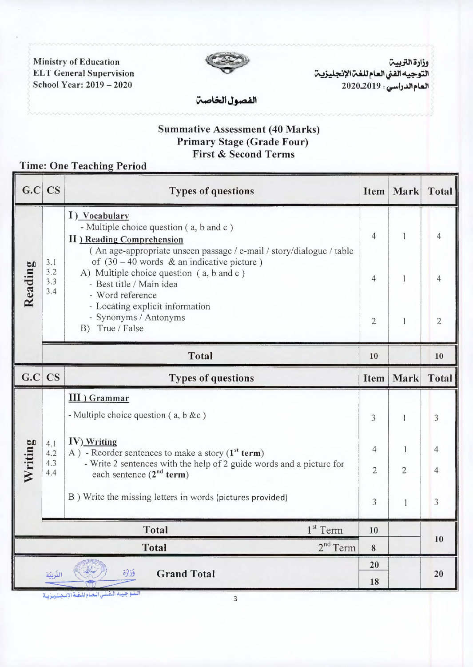**Ministry of Education ELT General Supervision** School Year: 2019 - 2020



وزارة التربيت التوجيه الفنى العام للغما الإنجليزيما العام الدراسي : 2020.2019

الفصول الخاصت

### **Summative Assessment (40 Marks) Primary Stage (Grade Four) First & Second Terms**

# **Time: One Teaching Period**

| G.C                                                 | <b>CS</b>                | <b>Types of questions</b>                                                                                                                                                                                                                                                                                         | Item                           | Mark                 | <b>Total</b>   |  |
|-----------------------------------------------------|--------------------------|-------------------------------------------------------------------------------------------------------------------------------------------------------------------------------------------------------------------------------------------------------------------------------------------------------------------|--------------------------------|----------------------|----------------|--|
| Reading                                             | 3.1<br>3.2<br>3.3<br>3.4 | I) Vocabulary<br>- Multiple choice question (a, b and c)<br><b>II</b> ) Reading Comprehension<br>(An age-appropriate unseen passage / e-mail / story/dialogue / table<br>of $(30 - 40$ words & an indicative picture)<br>A) Multiple choice question (a, b and c)<br>- Best title / Main idea<br>- Word reference | 4                              | 1                    | 4              |  |
|                                                     |                          |                                                                                                                                                                                                                                                                                                                   | $\overline{4}$                 | 1                    | $\overline{4}$ |  |
|                                                     |                          | - Locating explicit information<br>- Synonyms / Antonyms<br>B) True / False                                                                                                                                                                                                                                       | $\overline{2}$                 | 1                    | 2              |  |
|                                                     |                          | <b>Total</b>                                                                                                                                                                                                                                                                                                      | 10                             |                      | 10             |  |
| G.C                                                 | <b>CS</b>                | <b>Types of questions</b>                                                                                                                                                                                                                                                                                         | <b>Item</b>                    | Mark                 | <b>Total</b>   |  |
| Writing                                             | 4.1<br>4.2<br>4.3<br>4.4 | III ) Grammar<br>- Multiple choice question ( $a, b &c$ )                                                                                                                                                                                                                                                         | 3                              | 1                    | 3              |  |
|                                                     |                          | <b>IV)</b> Writing<br>A) - Reorder sentences to make a story ( $1st$ term)<br>- Write 2 sentences with the help of 2 guide words and a picture for<br>each sentence $(2^{nd}$ term)                                                                                                                               | $\overline{4}$<br>$\mathbf{2}$ | -1<br>$\overline{2}$ | 4<br>4         |  |
|                                                     |                          | B) Write the missing letters in words (pictures provided)                                                                                                                                                                                                                                                         | 3                              | $\mathbf{1}$         | 3              |  |
|                                                     |                          | $1st$ Term<br><b>Total</b>                                                                                                                                                                                                                                                                                        | 10                             |                      |                |  |
| $2nd$ Term<br><b>Total</b>                          |                          |                                                                                                                                                                                                                                                                                                                   | 8                              |                      | 10             |  |
| وَزَارَة<br><b>Grand Total</b><br>التّربيّة         |                          |                                                                                                                                                                                                                                                                                                                   |                                |                      | 20             |  |
| التدو جبسه التفتس التعتام للتفتة الإنتصليتزيية<br>3 |                          |                                                                                                                                                                                                                                                                                                                   |                                |                      |                |  |